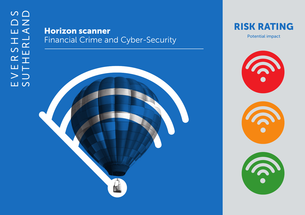## Horizon scanner Financial Crime and Cyber-Security



Potential impact



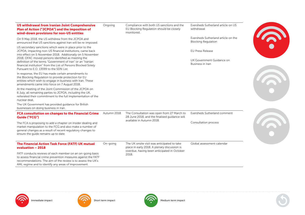| <b>US withdrawal from Iranian Joint Comprehensive</b><br>Plan of Action ("JCPOA") and the imposition of<br>wind-down provisions for non-US entities                                                                                                 | Ongoing     | Compliance with both US sanctions and the<br>EU Blocking Regulation should be closely<br>monitored. | Eversheds Sutherland article on US<br>withdrawal                  |
|-----------------------------------------------------------------------------------------------------------------------------------------------------------------------------------------------------------------------------------------------------|-------------|-----------------------------------------------------------------------------------------------------|-------------------------------------------------------------------|
| On 9 May 2018, the US withdrew from the JCPOA and<br>announced that US sanctions against Iran will be re-imposed.                                                                                                                                   |             |                                                                                                     | Eversheds Sutherland article on the<br><b>Blocking Regulation</b> |
| US secondary sanctions which were in place prior to the<br>JCPOA, impacting non-US financial institutions, came back<br>into effect on 5 November 2018. Additionally on 5 November                                                                  |             |                                                                                                     | <b>EU Press Release</b>                                           |
| 2018, OFAC moved persons identified as meeting the<br>definition of the terms "Government of Iran" or an "Iranian<br>financial institution" from the List of Persons Blocked Solely<br>Pursuant to E.O. 13599 to the SDN List.                      |             |                                                                                                     | UK Government Guidance on<br>Business in Iran                     |
| In response, the EU has made certain amendments to<br>the Blocking Regulation to provide protection for EU<br>entities which wish to engage in business with Iran. These<br>amendments came into force on 7 August 2018.                            |             |                                                                                                     |                                                                   |
| At the meeting of the Joint Commission of the JCPOA on<br>6 July, all remaining parties to JCPOA, including the UK,<br>reiterated their commitment to the full implementation of the<br>nuclear deal.                                               |             |                                                                                                     |                                                                   |
| The UK Government has provided quidance for British<br>businesses on doing business in Iran.                                                                                                                                                        |             |                                                                                                     |                                                                   |
| FCA consultation on changes to the Financial Crime<br><b>Guide ("FCG")</b>                                                                                                                                                                          | Autumn 2018 | The Consultation was open from 27 March to<br>28 June 2018, and the finalised guidance will         | Eversheds Sutherland comment                                      |
| The FCA is proposing to add a chapter on insider dealing and<br>market manipulation to the FCG and also make a number of<br>general changes as a result of recent regulatory changes to<br>ensure the quide remains up to date.                     |             | available in Autumn 2018.                                                                           | Consultation process                                              |
| The Financial Action Task Force (FATF) UK mutual<br>evaluation - 2018                                                                                                                                                                               | On-going    | The UK onsite visit was anticipated to take<br>place in early 2018. A plenary discussion is         | Global assessment calendar                                        |
| FATF conducts reviews of each member on an on-going basis<br>to assess financial crime prevention measures against the FATF<br>recommendations. The aim of the review is to assess the UK's<br>AML regime and to identify any areas of improvement. |             | overdue, having been anticipated in October<br>2018.                                                |                                                                   |







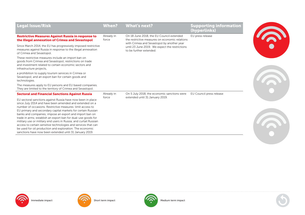| When?               | <b>What's next?</b>                                                                        | <b>Supporting information</b><br>(hyperlinks)                                 |
|---------------------|--------------------------------------------------------------------------------------------|-------------------------------------------------------------------------------|
| Already in<br>force | On 18 June 2018, the EU Council extended<br>the restrictive measures on economic relations | EU press release                                                              |
|                     | until 23 June 2019. We expect the restrictions<br>to be further extended.                  |                                                                               |
|                     |                                                                                            |                                                                               |
|                     |                                                                                            |                                                                               |
|                     |                                                                                            |                                                                               |
| Already in          | On 5 July 2018, the economic sanctions were                                                | EU Council press release                                                      |
|                     |                                                                                            |                                                                               |
|                     | Since March 2014, the EU has progressively imposed restrictive<br>force                    | with Crimea and Sevastopol by another year<br>extended until 31 January 2019. |







. . . . . . . . . . . . . . .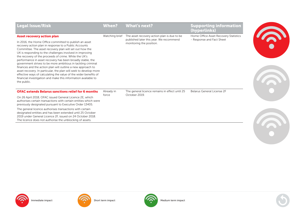| <b>Legal Issue/Risk</b>                                                                                                                                                                                                                                                                                                                                                                                                                                                                                                                                                                                                                                                                                                | When?          | What's next?                                                        | <b>Supporting information</b><br>(hyperlinks) |
|------------------------------------------------------------------------------------------------------------------------------------------------------------------------------------------------------------------------------------------------------------------------------------------------------------------------------------------------------------------------------------------------------------------------------------------------------------------------------------------------------------------------------------------------------------------------------------------------------------------------------------------------------------------------------------------------------------------------|----------------|---------------------------------------------------------------------|-----------------------------------------------|
| <b>Asset recovery action plan</b>                                                                                                                                                                                                                                                                                                                                                                                                                                                                                                                                                                                                                                                                                      | Watching brief | The asset recovery action plan is due to be                         | Home Office Asset Recovery Statistics         |
| In 2016, the Home Office committed to publish an asset<br>recovery action plan in response to a Public Accounts<br>Committee. The asset recovery plan will set out how the<br>UK is responding to the challenges involved in improving<br>the recovery of the proceeds of crime. While the UK's<br>performance in asset recovery has been broadly stable, the<br>government strives to be more ambitious in tackling criminal<br>finances and the action plan will outline a new approach to<br>asset recovery. In particular, the plan will seek to develop more<br>effective ways of calculating the value of the wider benefits of<br>financial investigation and make this information available to<br>the public. |                | published later this year. We recommend<br>monitoring the position. | - Response and Fact Sheet                     |
| <b>OFAC extends Belarus sanctions relief for 6 months</b>                                                                                                                                                                                                                                                                                                                                                                                                                                                                                                                                                                                                                                                              | Already in     | The general licence remains in effect until 25                      | <b>Belarus General License 2F</b>             |
| On 26 April 2018, OFAC issued General Licence 2E, which<br>authorises certain transactions with certain entities which were<br>previously designated pursuant to Executive Order 13405.                                                                                                                                                                                                                                                                                                                                                                                                                                                                                                                                | force          | October 2019.                                                       |                                               |
| The general licence authorises transactions with certain<br>designated entities and has been extended until 25 October<br>2019 under General Licence 2F, issued on 24 October 2018.<br>The licence does not authorise the unblocking of assets.                                                                                                                                                                                                                                                                                                                                                                                                                                                                        |                |                                                                     |                                               |









3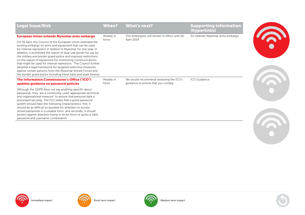| <b>Legal Issue/Risk</b>                                                                                                                                                                                                                                                                                                                                                                                                                                                                                                                                                                                                                                      | When?               | <b>What's next?</b>                                                           | <b>Supporting information</b><br>(hyperlinks) |  |
|--------------------------------------------------------------------------------------------------------------------------------------------------------------------------------------------------------------------------------------------------------------------------------------------------------------------------------------------------------------------------------------------------------------------------------------------------------------------------------------------------------------------------------------------------------------------------------------------------------------------------------------------------------------|---------------------|-------------------------------------------------------------------------------|-----------------------------------------------|--|
| European Union extends Myanmar arms embargo                                                                                                                                                                                                                                                                                                                                                                                                                                                                                                                                                                                                                  | Already in          | The embargoes will remain in effect until 26                                  | EU extends Myanmar arms embargo               |  |
| On 26 April, the Council of the European Union extended the<br>existing embargo on arms and equipment that can be used<br>for internal repression in relation to Myanmar for one year. In<br>addition, it prohibited the export of dual-use goods for use by<br>the military and border guard police and imposed restrictions<br>on the export of equipment for monitoring communications<br>that might be used for internal repression. The Council further<br>adopted a legal framework for targeted restrictive measures<br>against certain persons from the Myanmar Armed Forces and<br>the border quard police including travel bans and asset freezes. | force               | April 2019                                                                    |                                               |  |
| The Information Commissioner's Office ("ICO")<br>updates guidance on password policies                                                                                                                                                                                                                                                                                                                                                                                                                                                                                                                                                                       | Already in<br>force | We would recommend reviewing the ICO's<br>quidance to ensure that you comply. | <b>ICO Guidance</b>                           |  |
| Although the GDPR does not say anything specific about<br>passwords, they are a commonly-used "appropriate technical<br>and organisational measure" to ensure that personal data is<br>processed securely. The ICO states that a good password<br>system should have the following characteristics: first, it<br>should be as difficult as possible for attackers to access<br>stored passwords in a useable form; and secondly, it should<br>protect against attackers trying to brute force or guess a valid<br>password and username combination.                                                                                                         |                     |                                                                               |                                               |  |



**P** 

**G.** 

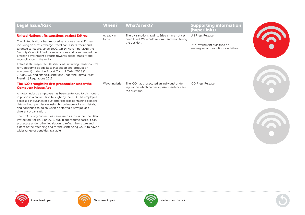| <b>Legal Issue/Risk</b>                                                                                                                                                                                                                                                                                                                       | <b>When?</b>   | <b>What's next?</b>                                                                                              | <b>Supporting information</b><br>(hyperlinks)                   |  |
|-----------------------------------------------------------------------------------------------------------------------------------------------------------------------------------------------------------------------------------------------------------------------------------------------------------------------------------------------|----------------|------------------------------------------------------------------------------------------------------------------|-----------------------------------------------------------------|--|
| <b>United Nations lifts sanctions against Eritrea</b>                                                                                                                                                                                                                                                                                         | Already in     | The UK sanctions against Eritrea have not yet                                                                    | <b>UN Press Release</b>                                         |  |
| The United Nations has imposed sanctions against Eritrea,<br>including an arms embargo, travel ban, assets freeze and<br>targeted sanctions, since 2009. On 14 November 2018 the<br>Security Council lifted those sanctions and commended the<br>Eritrean government's efforts towards peace, stability and<br>reconciliation in the region.  | force          | been lifted. We would recommend monitoring<br>the position.                                                      | UK Government guidance on<br>embargoes and sanctions on Eritrea |  |
| Eritrea is still subject to UK sanctions, including transit control<br>for Category B goods (test, inspection and production<br>equipment) under the Export Control Order 2008 (SI<br>2008/3231) and financial sanctions under the Eritrea (Asset-<br>Freezing) Regulations 2012.                                                             |                |                                                                                                                  |                                                                 |  |
| The ICO brought its first prosecution under the<br><b>Computer Misuse Act</b>                                                                                                                                                                                                                                                                 | Watching brief | The ICO has prosecuted an individual under<br>legislation which carries a prison sentence for<br>the first time. | <b>ICO Press Release</b>                                        |  |
| A motor industry employee has been sentenced to six months<br>in prison in a prosecution brought by the ICO. The employee<br>accessed thousands of customer records containing personal<br>data without permission, using his colleague's log-in details,<br>and continued to do so when he started a new job at a<br>different organisation. |                |                                                                                                                  |                                                                 |  |
| The ICO usually prosecutes cases such as this under the Data<br>Protection Act 1998 or 2018, but, in appropriate cases, it can<br>prosecute under other legislation to reflect the nature and<br>extent of the offending and for the sentencing Court to have a<br>wider range of penalties available.                                        |                |                                                                                                                  |                                                                 |  |









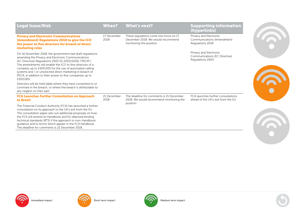| <b>Legal Issue/Risk</b>                                                                                                                                                                                                                                                                                                                                                                                                                     | <b>When?</b>        | <b>What's next?</b>                                                                                      | <b>Supporting information</b><br>(hyperlinks)                               |
|---------------------------------------------------------------------------------------------------------------------------------------------------------------------------------------------------------------------------------------------------------------------------------------------------------------------------------------------------------------------------------------------------------------------------------------------|---------------------|----------------------------------------------------------------------------------------------------------|-----------------------------------------------------------------------------|
| <b>Privacy and Electronic Communications</b><br>(Amendment) Regulations 2018 to give the ICO<br>the power to fine directors for breach of direct<br>marketing rules                                                                                                                                                                                                                                                                         | 17 December<br>2018 | These regulations come into force on 17<br>December 2018. We would recommend<br>monitoring the position. | Privacy and Electronic<br>Communications (Amendment)<br>Regulations 2018    |
| On 16 November 2018, the government laid draft regulations<br>amending the Privacy and Electronic Communications<br>(EC Directive) Regulations 2003 (SI 2003/2426) ("PECR").<br>The amendments will enable the ICO to fine directors of a<br>company up to £500,000 for the use of automated calling<br>systems and / or unsolicited direct marketing in breach of<br>PECR, in addition to their power to fine companies up to<br>£500,000. |                     |                                                                                                          | Privacy and Electronic<br>Communications (EC Directive)<br>Regulations 2003 |
| Directors will be held liable where they have consented to or<br>connived in the breach, or where the breach is attributable to<br>any neglect on their part.                                                                                                                                                                                                                                                                               |                     |                                                                                                          |                                                                             |
| <b>FCA Launches Further Consultation on Approach</b><br>to Brexit                                                                                                                                                                                                                                                                                                                                                                           | 21 December<br>2018 | The deadline for comments is 21 December<br>2018. We would recommend monitoring the                      | FCA launches further consultations<br>ahead of the UK's exit from the EU    |
| The Financial Conduct Authority (FCA) has launched a further<br>consultation on its approach to the UK's exit from the EU.<br>The consultation paper sets out additional proposals on how<br>the FCA will amend its Handbook and EU deprived binding<br>technical standards (BTS) if the approach to non-Handbook<br>quidance and to forms which appear in the FCA handbook.<br>The deadline for comments is 21 December 2018.              |                     | position.                                                                                                |                                                                             |







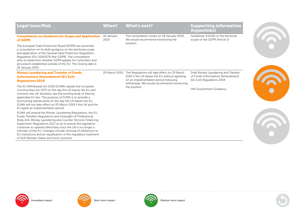| <b>Legal Issue/Risk</b>                                                                                                                                                                                                                                                                                                                                                                                                                                                                          | <b>When?</b>       | <b>What's next?</b>                                                                                                                                                                 | <b>Supporting information</b><br>(hyperlinks)                                                           |
|--------------------------------------------------------------------------------------------------------------------------------------------------------------------------------------------------------------------------------------------------------------------------------------------------------------------------------------------------------------------------------------------------------------------------------------------------------------------------------------------------|--------------------|-------------------------------------------------------------------------------------------------------------------------------------------------------------------------------------|---------------------------------------------------------------------------------------------------------|
| <b>Consultation on Guidance for Scope and Application</b><br>of GDPR                                                                                                                                                                                                                                                                                                                                                                                                                             | 18 January<br>2019 | The consultation closes on 18 January 2019.<br>We would recommend monitoring the                                                                                                    | Guidelines 3/2018 on the territorial<br>scope of the GDPR (Article 3)                                   |
| The European Data Protection Board (EDPB) has launched<br>a consultation on its draft quidance on the territorial scope<br>and application of the General Data Protection Regulation,<br>Regulation (EU) 2016/679 (the GDPR). The consultation<br>aims to determine whether GDPR applies for controllers and<br>processors established outside of the EU. The closing date is<br>18 January 2019.                                                                                                |                    | position.                                                                                                                                                                           |                                                                                                         |
| <b>Money Laundering and Transfer of Funds</b><br>(Information) (Amendment) (EU Exit)<br><b>Requlations 2018</b>                                                                                                                                                                                                                                                                                                                                                                                  | 29 March 2019      | The Regulations will take effect on 29 March<br>2019 if the UK leaves the EU without agreeing<br>on an implementation period following<br>withdrawal. We would recommend monitoring | Draft Money Laundering and Transfer<br>of Funds (Information) (Amendment)<br>(EU Exit) Regulations 2018 |
| The EU Withdrawal Act 2018 (EUWA) repeals the European<br>Communities Act 1972 on the day the UK leaves the EU and<br>converts into UK domestic law the existing body of directly<br>applicable EU law. The purpose of EUWA is to provide a<br>functioning statute book on the day the UK leaves the EU.<br>EUWA will not take effect on 29 March 2019 if the UK and the<br>EU agree an implementation period.                                                                                   |                    | the position.                                                                                                                                                                       | <b>HM Government Guidance</b>                                                                           |
| EUWA will amend the Money Laundering Regulations, the EU<br>Funds Transfers Regulations and Oversight of Professional<br>Body Anti-Money Laundering and Counter Terrorist Financing<br>Supervision Regulations 2017 so as to ensure the legislation<br>continues to operate effectively once the UK is no longer a<br>member of the EU. Changes include removal of references to<br>EU institutions and an equalisation of the regulatory treatment<br>of EEA Member States and third countries. |                    |                                                                                                                                                                                     |                                                                                                         |







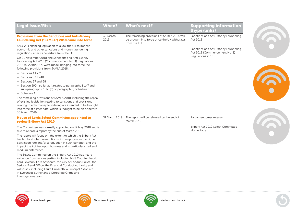| <b>Legal Issue/Risk</b>                                                                                                                                                                                                                                                                                                                                                                                                                                                                         | <b>When?</b>     | <b>What's next?</b>                                                                                        | <b>Supporting information</b><br>(hyperlinks)                                            |
|-------------------------------------------------------------------------------------------------------------------------------------------------------------------------------------------------------------------------------------------------------------------------------------------------------------------------------------------------------------------------------------------------------------------------------------------------------------------------------------------------|------------------|------------------------------------------------------------------------------------------------------------|------------------------------------------------------------------------------------------|
| <b>Provisions from the Sanctions and Anti-Money</b><br><b>Laundering Act ("SAMLA") 2018 came into force</b>                                                                                                                                                                                                                                                                                                                                                                                     | 30 March<br>2019 | The remaining provisions of SAMLA 2018 will<br>be brought into force once the UK withdraws<br>from the EU. | Sanctions and Anti-Money Laundering<br>Act 2018                                          |
| SAMLA is enabling legislation to allow the UK to impose<br>economic and other sanctions and money laundering<br>regulations, after its departure from the EU.<br>On 21 November 2018, the Sanctions and Anti-Money<br>Laundering Act 2018 (Commencement No. 1) Regulations<br>2018 (SI 2018/2013) were made, bringing into force the<br>following provisions from SAMLA 2018:                                                                                                                   |                  |                                                                                                            | Sanctions and Anti-Money Laundering<br>Act 2018 (Commencement No. 1)<br>Regulations 2018 |
| - Sections 1 to 31<br>- Sections 33 to 48<br>- Sections 57 and 68<br>- Section 59(4) so far as it relates to paragraphs 1 to 7 and<br>sub-paragraphs (1) to (3) of paragraph 8, Schedule 3<br>- Schedule 1<br>The remaining provisions of SAMLA 2018, including the repeal<br>of existing legislation relating to sanctions and provisions<br>relating to anti-money laundering are intended to be brought<br>into force at a later date, which is thought to be on or before<br>30 March 2019. |                  |                                                                                                            |                                                                                          |
| <b>House of Lords Select Committee appointed to</b><br><b>review Bribery Act 2010</b>                                                                                                                                                                                                                                                                                                                                                                                                           | 31 March 2019    | The report will be released by the end of<br><b>March 2019</b>                                             | Parliament press release                                                                 |
| The Committee was formally appointed on 17 May 2018 and is<br>due to release a report by the end of March 2019.                                                                                                                                                                                                                                                                                                                                                                                 |                  |                                                                                                            | Bribery Act 2010 Select Committee<br>Home Page                                           |
| The report will focus on: the extent to which the Bribery Act<br>has led to stricter prosecutions of corrupt conduct, a higher<br>conviction rate and/or a reduction in such conduct; and the<br>impact the Act has upon business and in particular small and<br>medium enterprises.                                                                                                                                                                                                            |                  |                                                                                                            |                                                                                          |
| The Select Committee on the Bribery Act 2010 has heard<br>evidence from various parties, including NHS Counter Fraud,<br>Lord Leveson, Lord Advocate, the City of London Police, the<br>Serious Fraud Office, the Financial Conduct Authority and<br>witnesses, including Laura Dunseath, a Principal Associate<br>in Eversheds Sutherland's Corporate Crime and<br>Investigations team.                                                                                                        |                  |                                                                                                            |                                                                                          |







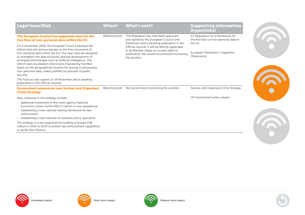| <b>Legal Issue/Risk</b>                                                                                                                                                                                                                                                                                                                                                                                                                                                                                     | When?          | <b>What's next?</b>                                                                                                                                          | <b>Supporting information</b><br>(hyperlinks)                                       |
|-------------------------------------------------------------------------------------------------------------------------------------------------------------------------------------------------------------------------------------------------------------------------------------------------------------------------------------------------------------------------------------------------------------------------------------------------------------------------------------------------------------|----------------|--------------------------------------------------------------------------------------------------------------------------------------------------------------|-------------------------------------------------------------------------------------|
| The European Council has approved rules for the<br>free flow of non-personal data within the EU                                                                                                                                                                                                                                                                                                                                                                                                             | Watching brief | The Regulation has now been approved<br>and signed by the European Council and<br>Parliament and is awaiting publication in the                              | EU Regulation on a framework for<br>the free flow of non-personal data in<br>the EU |
| On 9 November 2018, the European Council adopted the<br>reform that will remove barriers to the free movement of<br>non-personal data within the EU. The new rules are designed<br>to strengthen the data economy and the development of<br>emerging technologies such as artificial intelligence. The<br>reform bans localisation restrictions imposed by member<br>states on the geographical location for storing or processing<br>non-personal data, unless justified on grounds of public<br>security. |                | Official Journal. It will be directly applicable<br>in all Member States six months after its<br>publication. We would recommend monitoring<br>the position. | European Parliament / Legislative<br>Observatory                                    |
| The Final act was signed on 14 November and is awaiting<br>publication in the Official Journal.                                                                                                                                                                                                                                                                                                                                                                                                             |                |                                                                                                                                                              |                                                                                     |
| <b>Government announces new Serious and Organised</b><br><b>Crime Strategy</b>                                                                                                                                                                                                                                                                                                                                                                                                                              |                | Watching brief We recommend monitoring the position.                                                                                                         | Serious and Organised Crime Strategy                                                |
| New measures in the strategy include:                                                                                                                                                                                                                                                                                                                                                                                                                                                                       |                |                                                                                                                                                              | UK Government press release                                                         |
| - additional investment in the multi-agency National<br>Economic Crime Centre (NECC) which is now operational<br>- establishing a new national tasking framework for law<br>enforcement                                                                                                                                                                                                                                                                                                                     |                |                                                                                                                                                              |                                                                                     |
| - establishing a new network of overseas policy specialists                                                                                                                                                                                                                                                                                                                                                                                                                                                 |                |                                                                                                                                                              |                                                                                     |
| The strategy is to be supported by funding of at least £48<br>million in 2019 to 2020 to bolster law enforcement capabilities<br>to tackle illicit finance.                                                                                                                                                                                                                                                                                                                                                 |                |                                                                                                                                                              |                                                                                     |







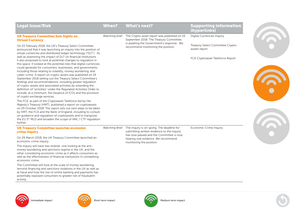| <b>Digital Currencies Inquiry</b><br><b>UK Treasury Committee Sets Sights on</b><br>The Crypto-asset report was published on 19<br>Watching brief<br>September 2018. The Treasury Committee<br><b>Virtual Currency</b><br>is awaiting the Government's response. We<br>Treasury Select Committee Crypto-<br>On 22 February 2018, the UK's Treasury Select Committee<br>recommend monitoring the position.<br>assets report<br>announced that it was launching an inquiry into the position of<br>virtual currencies and distributed ledger technology ("DLT"). As<br>well as examining the impact of DLT on financial institutions<br>FCA Cryptoasset Taskforce Report<br>it also proposed to look at potential changes to regulation in<br>this space. It looked at the potential risks that digital currencies<br>could generate for consumers, businesses, and governments,<br>including those relating to volatility, money laundering, and<br>cyber-crime. A report on crypto-assets was published on 19<br>September 2018 setting out the Treasury Select Committee's<br>findings and recommendations, including greater regulation<br>of crypto-assets and associated activities by extending the<br>definition of "activities" under the Regulated Activities Order to<br>include, at a minimum, the issuance of ICOs and the provision<br>of crypto exchange services.<br>The FCA, as part of the Cryptoasset Taskforce led by Her<br>Majesty's Treasury (HMT), published a report on cryptoassets<br>on 29 October 2018. The report sets out next steps to be taken<br>by HMT, the FCA and the Bank of England, including to consult<br>on quidance and regulation of cryptoassets and to transpose<br>the EU 5 <sup>th</sup> MLD and broaden the scope of AML / CTF regulation<br>further.<br>The inquiry is on-going. The deadline for<br><b>Economic Crime Inquiry</b><br><b>UK Treasury Committee launches economic</b><br>Watching Brief<br>submitting written evidence to the inquiry<br>crime inquiry<br>has now passed and the Committee is now<br>On 29 March 2018, the UK Treasury Committee launched an<br>hearing oral evidence. We recommend<br>economic crime inquiry.<br>monitoring the position.<br>The inquiry will have two strands: one looking at the anti-<br>money laundering and sanctions regime in the UK; and the<br>other considering economic crime as it affects consumers as<br>well as the effectiveness of financial institutions in combatting<br>economic crime.<br>The Committee will look at the scale of money laundering,<br>terrorist financing and sanctions violations in the UK as well as |
|------------------------------------------------------------------------------------------------------------------------------------------------------------------------------------------------------------------------------------------------------------------------------------------------------------------------------------------------------------------------------------------------------------------------------------------------------------------------------------------------------------------------------------------------------------------------------------------------------------------------------------------------------------------------------------------------------------------------------------------------------------------------------------------------------------------------------------------------------------------------------------------------------------------------------------------------------------------------------------------------------------------------------------------------------------------------------------------------------------------------------------------------------------------------------------------------------------------------------------------------------------------------------------------------------------------------------------------------------------------------------------------------------------------------------------------------------------------------------------------------------------------------------------------------------------------------------------------------------------------------------------------------------------------------------------------------------------------------------------------------------------------------------------------------------------------------------------------------------------------------------------------------------------------------------------------------------------------------------------------------------------------------------------------------------------------------------------------------------------------------------------------------------------------------------------------------------------------------------------------------------------------------------------------------------------------------------------------------------------------------------------------------------------------------------------------------------------------------------------------------------------------------------------------------------------------------------------------------------------------------------------------------|
|                                                                                                                                                                                                                                                                                                                                                                                                                                                                                                                                                                                                                                                                                                                                                                                                                                                                                                                                                                                                                                                                                                                                                                                                                                                                                                                                                                                                                                                                                                                                                                                                                                                                                                                                                                                                                                                                                                                                                                                                                                                                                                                                                                                                                                                                                                                                                                                                                                                                                                                                                                                                                                                |
|                                                                                                                                                                                                                                                                                                                                                                                                                                                                                                                                                                                                                                                                                                                                                                                                                                                                                                                                                                                                                                                                                                                                                                                                                                                                                                                                                                                                                                                                                                                                                                                                                                                                                                                                                                                                                                                                                                                                                                                                                                                                                                                                                                                                                                                                                                                                                                                                                                                                                                                                                                                                                                                |
|                                                                                                                                                                                                                                                                                                                                                                                                                                                                                                                                                                                                                                                                                                                                                                                                                                                                                                                                                                                                                                                                                                                                                                                                                                                                                                                                                                                                                                                                                                                                                                                                                                                                                                                                                                                                                                                                                                                                                                                                                                                                                                                                                                                                                                                                                                                                                                                                                                                                                                                                                                                                                                                |
|                                                                                                                                                                                                                                                                                                                                                                                                                                                                                                                                                                                                                                                                                                                                                                                                                                                                                                                                                                                                                                                                                                                                                                                                                                                                                                                                                                                                                                                                                                                                                                                                                                                                                                                                                                                                                                                                                                                                                                                                                                                                                                                                                                                                                                                                                                                                                                                                                                                                                                                                                                                                                                                |
|                                                                                                                                                                                                                                                                                                                                                                                                                                                                                                                                                                                                                                                                                                                                                                                                                                                                                                                                                                                                                                                                                                                                                                                                                                                                                                                                                                                                                                                                                                                                                                                                                                                                                                                                                                                                                                                                                                                                                                                                                                                                                                                                                                                                                                                                                                                                                                                                                                                                                                                                                                                                                                                |
|                                                                                                                                                                                                                                                                                                                                                                                                                                                                                                                                                                                                                                                                                                                                                                                                                                                                                                                                                                                                                                                                                                                                                                                                                                                                                                                                                                                                                                                                                                                                                                                                                                                                                                                                                                                                                                                                                                                                                                                                                                                                                                                                                                                                                                                                                                                                                                                                                                                                                                                                                                                                                                                |
| at fraud and how the rise of online banking and payments has<br>potentially exposed consumers to greater risk of fraudulent<br>activity.                                                                                                                                                                                                                                                                                                                                                                                                                                                                                                                                                                                                                                                                                                                                                                                                                                                                                                                                                                                                                                                                                                                                                                                                                                                                                                                                                                                                                                                                                                                                                                                                                                                                                                                                                                                                                                                                                                                                                                                                                                                                                                                                                                                                                                                                                                                                                                                                                                                                                                       |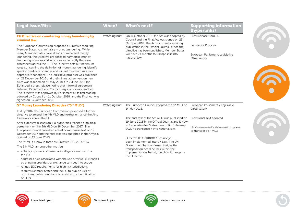| <b>Legal Issue/Risk</b>                                                                                                                                                                                                                                                                                                                                                                                                                                                                                                                                                                                                                                                                                                                                                                                                                     | <b>When?</b>   | <b>What's next?</b>                                                                                                                         | <b>Supporting information</b><br>(hyperlinks)    |  |                                                                                  |  |
|---------------------------------------------------------------------------------------------------------------------------------------------------------------------------------------------------------------------------------------------------------------------------------------------------------------------------------------------------------------------------------------------------------------------------------------------------------------------------------------------------------------------------------------------------------------------------------------------------------------------------------------------------------------------------------------------------------------------------------------------------------------------------------------------------------------------------------------------|----------------|---------------------------------------------------------------------------------------------------------------------------------------------|--------------------------------------------------|--|----------------------------------------------------------------------------------|--|
| EU Directive on countering money laundering by<br>criminal law                                                                                                                                                                                                                                                                                                                                                                                                                                                                                                                                                                                                                                                                                                                                                                              | Watching brief | On 11 October 2018, the Act was adopted by<br>Council and the Final Act was signed on 23                                                    | Press release from EU                            |  |                                                                                  |  |
| The European Commission proposed a Directive requiring<br>Member States to criminalise money laundering. Whilst                                                                                                                                                                                                                                                                                                                                                                                                                                                                                                                                                                                                                                                                                                                             |                | October 2018. The Act is currently awaiting<br>publication in the Official Journal. Once the<br>directive has been published, Member States | Legislative Proposal                             |  |                                                                                  |  |
| many Member States have already criminalised money<br>laundering, the Directive proposes to harmonise money<br>laundering offences and sanctions as currently there are<br>differences across the EU. The Directive sets out minimum<br>rules concerning the definition of money laundering, identify<br>specific predicate offences and will set minimum rules for<br>appropriate sanctions. The legislative proposal was published<br>on 21 December 2016 and preliminary agreement on new<br>rules was reached on 30 May 2018. On 7 June 2018 the<br>EU issued a press release noting that informal agreement<br>between Parliament and Council negotiators was reached.<br>The Directive was approved by Parliament at its first reading,<br>adopted by Council on 11 October 2018, and the Final Act was<br>signed on 23 October 2018. |                | will have 24 months to transpose it into<br>national law.                                                                                   | European Parliament/Legislative<br>Observatory   |  |                                                                                  |  |
| 5 <sup>th</sup> Money Laundering Directive ("5 <sup>th</sup> MLD")                                                                                                                                                                                                                                                                                                                                                                                                                                                                                                                                                                                                                                                                                                                                                                          |                | Watching brief The European Council adopted the 5 <sup>th</sup> MLD on<br>14 May 2018.                                                      | European Parliament / Legislative<br>Observatory |  |                                                                                  |  |
| In July 2016, the European Commission proposed a further<br>directive to amend the 4th MLD and further enhance the AML<br>framework across the EU.                                                                                                                                                                                                                                                                                                                                                                                                                                                                                                                                                                                                                                                                                          |                | The final text of the 5th MLD was published on                                                                                              | Provisional Text adopted                         |  |                                                                                  |  |
| After extensive discussion, EU authorities reached a political<br>agreement on the 5th MLD on 18 December 2017. The                                                                                                                                                                                                                                                                                                                                                                                                                                                                                                                                                                                                                                                                                                                         |                | 19 June 2018 in the Official Journal and is now<br>in force. Member States have until 10 January                                            | UK Government's statement on plans               |  |                                                                                  |  |
| European Council published a final compromise text on 19<br>December 2017 and the final text was published in the Official<br>Journal on 19 June 2018.                                                                                                                                                                                                                                                                                                                                                                                                                                                                                                                                                                                                                                                                                      |                | 2020 to transpose it into national law.                                                                                                     | to transpose 5th MLD                             |  |                                                                                  |  |
| The 5 <sup>th</sup> MLD is now in force as Directive (EU) 2018/843.                                                                                                                                                                                                                                                                                                                                                                                                                                                                                                                                                                                                                                                                                                                                                                         |                | Directive (EU) 2018/843 has not yet<br>been implemented into UK Law. The UK                                                                 |                                                  |  |                                                                                  |  |
| The 5th MLD, among other matters:                                                                                                                                                                                                                                                                                                                                                                                                                                                                                                                                                                                                                                                                                                                                                                                                           |                |                                                                                                                                             |                                                  |  | Government has confirmed that, as the<br>transposition deadline falls within the |  |
| - enhances powers of financial intelligence units across<br>the EU                                                                                                                                                                                                                                                                                                                                                                                                                                                                                                                                                                                                                                                                                                                                                                          |                | Implementation Period, the UK will transpose<br>the Directive.                                                                              |                                                  |  |                                                                                  |  |
| - addresses risks associated with the use of virtual currencies<br>by bringing providers of exchange services into scope                                                                                                                                                                                                                                                                                                                                                                                                                                                                                                                                                                                                                                                                                                                    |                |                                                                                                                                             |                                                  |  |                                                                                  |  |
| - refines EDD requirements for high risk jurisdictions                                                                                                                                                                                                                                                                                                                                                                                                                                                                                                                                                                                                                                                                                                                                                                                      |                |                                                                                                                                             |                                                  |  |                                                                                  |  |
| - requires Member States and the EU to publish lists of<br>prominent public functions, to assist in the identification<br>of PEPs                                                                                                                                                                                                                                                                                                                                                                                                                                                                                                                                                                                                                                                                                                           |                |                                                                                                                                             |                                                  |  |                                                                                  |  |







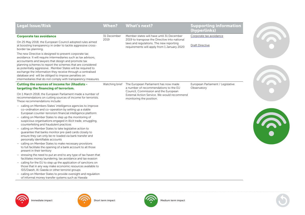| <b>Legal Issue/Risk</b>                                                                                                                                                                                                                                                                                                                                                                                                                                                                               | <b>When?</b>   | <b>What's next?</b>                                                                                                                     | <b>Supporting information</b><br>(hyperlinks)    |  |
|-------------------------------------------------------------------------------------------------------------------------------------------------------------------------------------------------------------------------------------------------------------------------------------------------------------------------------------------------------------------------------------------------------------------------------------------------------------------------------------------------------|----------------|-----------------------------------------------------------------------------------------------------------------------------------------|--------------------------------------------------|--|
| <b>Corporate tax avoidance</b>                                                                                                                                                                                                                                                                                                                                                                                                                                                                        | 31 December    | Member states will have until 31 December                                                                                               | Corporate tax avoidance                          |  |
| On 25 May 2018, the European Council adopted rules aimed<br>at boosting transparency in order to tackle aggressive cross-<br>border tax planning.                                                                                                                                                                                                                                                                                                                                                     | 2019           | 2019 to transpose the Directive into national<br>laws and regulations. The new reporting<br>requirements will apply from 1 January 2020 | <b>Draft Directive</b>                           |  |
| The new Directive is designed to prevent corporate tax<br>avoidance. It will require intermediaries such as tax advisors,<br>accountants and lawyers that design and promote tax<br>planning schemes to report the schemes that are considered<br>as potentially aggressive. Member States will be required to<br>exchange the information they receive through a centralised<br>database and will be obliged to impose penalties on<br>intermediaries that do not comply with transparency measures. |                |                                                                                                                                         |                                                  |  |
| <b>Cutting the sources of income for Jihadists -</b><br>targeting the financing of terrorism.                                                                                                                                                                                                                                                                                                                                                                                                         | Watching brief | The European Parliament has now made<br>a number of recommendations to the EU                                                           | European Parliament / Legislative<br>Observatory |  |
| On 1 March 2018, the European Parliament made a number of<br>recommendations on cutting sources of income for terrorists.<br>These recommendations include:                                                                                                                                                                                                                                                                                                                                           |                | Council, Commission and the European<br>External Action Service. We would recommend<br>monitoring the position.                         |                                                  |  |
| - calling on Members States' intelligence agencies to improve<br>co-ordination and co-operation by setting up a stable<br>European counter-terrorism financial intelligence platform                                                                                                                                                                                                                                                                                                                  |                |                                                                                                                                         |                                                  |  |
| - calling on Member States to step up the monitoring of<br>suspicious organisations engaged in illicit trade, smuggling,<br>counterfeiting and fraudulent practices                                                                                                                                                                                                                                                                                                                                   |                |                                                                                                                                         |                                                  |  |
| - calling on Member States to take legislative action to<br>guarantee that banks monitor pre-paid cards closely to<br>ensure they can only be re-loaded via bank transfer and<br>personally identifiable accounts                                                                                                                                                                                                                                                                                     |                |                                                                                                                                         |                                                  |  |
| - calling on Member States to make necessary provisions<br>to full facilitate the opening of a bank account to all those<br>present in their territory                                                                                                                                                                                                                                                                                                                                                |                |                                                                                                                                         |                                                  |  |
| - stressing the need to put an end to any type of tax haven that<br>facilitates money laundering, tax avoidance and tax evasion                                                                                                                                                                                                                                                                                                                                                                       |                |                                                                                                                                         |                                                  |  |
| - calling for the EU to step up the application of sanctions on<br>those that in any way make economic resources available to<br>ISIS/Daesh, Al-Qaeda or other terrorist groups                                                                                                                                                                                                                                                                                                                       |                |                                                                                                                                         |                                                  |  |
| - calling on Member States to provide oversight and regulation                                                                                                                                                                                                                                                                                                                                                                                                                                        |                |                                                                                                                                         |                                                  |  |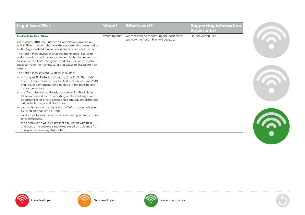| <b>Legal Issue/Risk</b>                                                                                                                                                                                                                                                 | <b>When?</b>   | <b>What's next?</b>                     | <b>Supporting information</b><br>(hyperlinks) |  |
|-------------------------------------------------------------------------------------------------------------------------------------------------------------------------------------------------------------------------------------------------------------------------|----------------|-----------------------------------------|-----------------------------------------------|--|
| <b>FinTech Action Plan</b>                                                                                                                                                                                                                                              | Watching brief | We recommend monitoring the position to | FinTech Action Plan                           |  |
| On 8 March 2018, the European Commission unveiled an<br>Action Plan on how to harness the opportunities presented by<br>technology-enabled innovation in financial services (FinTech).                                                                                  |                | see how the Action Plan will develop.   |                                               |  |
| The Action Plan envisages enabling the financial sector to<br>make use of the rapid advances in new technologies such as<br>blockchain, artificial intelligence and cloud services. It also<br>seeks to make the markets safer and easier to access for new<br>players. |                |                                         |                                               |  |
| The Action Plan sets out 23 steps, including:                                                                                                                                                                                                                           |                |                                         |                                               |  |
| - hosting an EU FinTech Laboratory ("the EU FinTech Lab").<br>The EU FinTech Lab met for the first time on 20 June 2018<br>and focused on outsourcing to cloud in the banking and<br>insurance sectors                                                                  |                |                                         |                                               |  |
| - the Commission has already created an EU Blockchain<br>Observatory and Forum reporting on the challenges and<br>opportunities of crypto assets and a strategy on distributed<br>ledger technology and blockchain                                                      |                |                                         |                                               |  |
| - a consultation on the digitisation of information published<br>by listed companies in Europe                                                                                                                                                                          |                |                                         |                                               |  |
| - workshops to improve information-sharing when it comes<br>to cybersecurity                                                                                                                                                                                            |                |                                         |                                               |  |
| - the commission will also present a blueprint with best<br>practices on regulatory sandboxes based on guidance from<br>European Supervisory Authorities                                                                                                                |                |                                         |                                               |  |
|                                                                                                                                                                                                                                                                         |                |                                         |                                               |  |
|                                                                                                                                                                                                                                                                         |                |                                         |                                               |  |
|                                                                                                                                                                                                                                                                         |                |                                         |                                               |  |







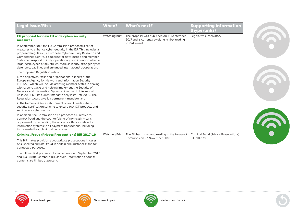| <b>Legal Issue/Risk</b>                                                                                                                                                                                                                                                                                                                                                                                                                                   | <b>When?</b>      | <b>What's next?</b>                                                                            | <b>Supporting information</b><br>(hyperlinks) |  |
|-----------------------------------------------------------------------------------------------------------------------------------------------------------------------------------------------------------------------------------------------------------------------------------------------------------------------------------------------------------------------------------------------------------------------------------------------------------|-------------------|------------------------------------------------------------------------------------------------|-----------------------------------------------|--|
| EU proposal for new EU wide cyber-security<br>measures                                                                                                                                                                                                                                                                                                                                                                                                    | Watching brief    | The proposal was published on 13 September<br>2017 and is currently awaiting its first reading | Legislative Observatory                       |  |
| In September 2017, the EU Commission proposed a set of<br>measures to enhance cyber-security in the EU. This includes a<br>proposed Regulation, a European Cyber-security Research and<br>Competence Centre, a blueprint for how Europe and Member<br>States can respond quickly, operationally and in unison when a<br>large-scale cyber-attack strikes, more solidarity, stronger cyber<br>defence capabilities and enhanced international cooperation. |                   | in Parliament.                                                                                 |                                               |  |
| The proposed Regulation sets out:                                                                                                                                                                                                                                                                                                                                                                                                                         |                   |                                                                                                |                                               |  |
| 1. the objectives, tasks and organisational aspects of the<br>European Agency for Network and Information Security<br>("ENISA"), which will include assisting Member States in dealing<br>with cyber-attacks and helping implement the Security of<br>Network and Information Systems Directive. ENISA was set<br>up in 2004 but its current mandate only lasts until 2020. The<br>Regulation would give it a permanent mandate; and                      |                   |                                                                                                |                                               |  |
| 2. the framework for establishment of an EU wide cyber-<br>security certification scheme to ensure that ICT products and<br>services are cyber secure.                                                                                                                                                                                                                                                                                                    |                   |                                                                                                |                                               |  |
| In addition, the Commission also proposes a Directive to<br>combat fraud and the counterfeiting of non-cash means<br>of payment, by expanding the scope of offences related to<br>information systems to all payment transactions, including<br>those made through virtual currencies.                                                                                                                                                                    |                   |                                                                                                |                                               |  |
| <b>Criminal Fraud (Private Prosecutions) Bill 2017-19</b>                                                                                                                                                                                                                                                                                                                                                                                                 |                   | Watching Brief The Bill had its second reading in the House of                                 | Criminal Fraud (Private Prosecutions)         |  |
| This Bill makes provision about private prosecutions in cases<br>of suspected criminal fraud in certain circumstances; and for<br>connected purposes.                                                                                                                                                                                                                                                                                                     |                   | Commons on 23 November 2018.                                                                   | Bill 2017-19                                  |  |
| The Bill was first presented to Parliament on 5 September 2017<br>and is a Private Member's Bill, as such, information about its<br>contents are limited at present.                                                                                                                                                                                                                                                                                      |                   |                                                                                                |                                               |  |
|                                                                                                                                                                                                                                                                                                                                                                                                                                                           |                   |                                                                                                |                                               |  |
| Immediate impact                                                                                                                                                                                                                                                                                                                                                                                                                                          | Short term impact | Medium term impact                                                                             |                                               |  |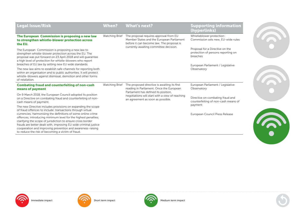| <b>Legal Issue/Risk</b>                                                                                                                                                                                                                                                                                                                                                                         | <b>When?</b>   | <b>What's next?</b>                                                                                                              | <b>Supporting information</b><br>(hyperlinks)                                                                          |
|-------------------------------------------------------------------------------------------------------------------------------------------------------------------------------------------------------------------------------------------------------------------------------------------------------------------------------------------------------------------------------------------------|----------------|----------------------------------------------------------------------------------------------------------------------------------|------------------------------------------------------------------------------------------------------------------------|
| The European Commission is proposing a new law<br>to strengthen whistle-blower protection across<br>the EU.                                                                                                                                                                                                                                                                                     | Watching Brief | The proposal requires approval from EU<br>Member States and the European Parliament<br>before it can become law. The proposal is | Whistleblower protection:<br>Commission sets new, EU-wide rules                                                        |
| The European Commission is proposing a new law to<br>strengthen whistle-blower protection across the EU. The<br>proposal was put forward on 23 April 2018 and will quarantee<br>a high level of protection for whistle-blowers who report<br>breaches of EU law by setting new EU wide standards.                                                                                               |                | currently awaiting committee decision.                                                                                           | Proposal for a Directive on the<br>protection of persons reporting on<br>breaches<br>European Parliament / Legislative |
| The new law aims to establish safe channels for reporting both<br>within an organisation and to public authorities. It will protect<br>whistle-blowers against dismissal, demotion and other forms<br>of retaliation.                                                                                                                                                                           |                |                                                                                                                                  | Observatory                                                                                                            |
| <b>Combating fraud and counterfeiting of non-cash</b><br>means of payment                                                                                                                                                                                                                                                                                                                       | Watching Brief | The proposed directive is awaiting its first<br>reading in Parliament. Once the European<br>Parliament has defined its position, | European Parliament / Legislative<br>Observatory                                                                       |
| On 9 March 2018, the European Council adopted its position<br>on a Directive on combating fraud and counterfeiting of non-<br>cash means of payment.                                                                                                                                                                                                                                            |                | negotiations will start with a view of reaching<br>an agreement as soon as possible.                                             | Directive on combating fraud and<br>counterfeiting of non-cash means of<br>payment                                     |
| The new Directive includes provisions on expanding the scope<br>of fraud offences to include: transactions through virtual<br>currencies; harmonising the definitions of some online crime<br>offences; introducing minimum level for the highest penalties;<br>clarifying the scope of jurisdiction to ensure cross border<br>frauds are better dealt with, improving EU wide criminal justice |                |                                                                                                                                  | European Council Press Release                                                                                         |
| cooperation and improving prevention and awareness-raising<br>to reduce the risk of becoming a victim of fraud.                                                                                                                                                                                                                                                                                 |                |                                                                                                                                  |                                                                                                                        |















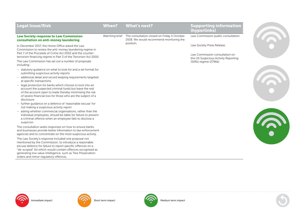| <b>Legal Issue/Risk</b>                                                                                                                                                                                                                                                                                                                                                                                                                                                                                                                                                                                                                                                                                                                                                                            | <b>When?</b> | <b>What's next?</b>                                                                                   | <b>Supporting information</b><br>(hyperlinks)                                                                                |  |
|----------------------------------------------------------------------------------------------------------------------------------------------------------------------------------------------------------------------------------------------------------------------------------------------------------------------------------------------------------------------------------------------------------------------------------------------------------------------------------------------------------------------------------------------------------------------------------------------------------------------------------------------------------------------------------------------------------------------------------------------------------------------------------------------------|--------------|-------------------------------------------------------------------------------------------------------|------------------------------------------------------------------------------------------------------------------------------|--|
| <b>Law Society response to Law Commission</b><br>consultation on anti-money laundering                                                                                                                                                                                                                                                                                                                                                                                                                                                                                                                                                                                                                                                                                                             |              | Watching brief The consultation closed on Friday 5 October<br>2018. We would recommend monitoring the | Law Commission public consultation                                                                                           |  |
| In December 2017, the Home Office asked the Law<br>Commission to review the anti-money laundering regime in<br>Part 7 of the Proceeds of Crime Act 2002 and the counter-<br>terrorism financing regime in Part 3 of the Terrorism Act 2000.<br>The Law Commission has set out a number of proposals                                                                                                                                                                                                                                                                                                                                                                                                                                                                                                |              | position.                                                                                             | Law Society Press Release<br>Law Commission consultation on<br>the UK Suspicious Activity Reporting<br>(SARs) regime (279kb) |  |
| including:<br>- statutory guidance on what to look for and a set format for<br>submitting suspicious activity reports<br>- additional detail and record keeping requirements targeted<br>at specific transactions<br>- legal protection for banks which choose to lock into an<br>account the suspected criminal funds but leave the rest<br>of the account open to trade thereby minimising the risk<br>of severe financial loss for those who are the subject of a<br>disclosure<br>- further guidance on a defence of 'reasonable excuse' for<br>not making a suspicious activity report<br>- asking whether commercial organisations, rather than the<br>individual employees, should be liable for failure to prevent<br>a criminal offence when an employee fails to disclose a<br>suspicion |              |                                                                                                       |                                                                                                                              |  |
| The consultation seeks responses on how to ensure banks<br>and businesses provide better information to law enforcement<br>agencies and to concentrate on the most suspicious activity.<br>The Law Society's response included one proposal not<br>mentioned by the Commission: to introduce a reasonable<br>excuse defence for failure to report specific offences on a<br>"de-scoped" list which would contain offences recognised as<br>generating low value intelligence, such as Tree Preservation<br>orders and minor regulatory offences.                                                                                                                                                                                                                                                   |              |                                                                                                       |                                                                                                                              |  |



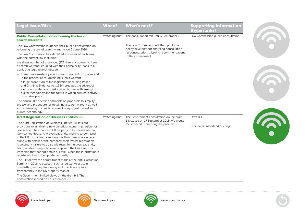| <b>Legal Issue/Risk</b>                                                                                                                                                                                                                                                                                                                                                                                                                                                                                                                                                                                                                   | When? | <b>What's next?</b>                                                                                                                         | <b>Supporting information</b><br>(hyperlinks) |                                                                                                                                                          |  |
|-------------------------------------------------------------------------------------------------------------------------------------------------------------------------------------------------------------------------------------------------------------------------------------------------------------------------------------------------------------------------------------------------------------------------------------------------------------------------------------------------------------------------------------------------------------------------------------------------------------------------------------------|-------|---------------------------------------------------------------------------------------------------------------------------------------------|-----------------------------------------------|----------------------------------------------------------------------------------------------------------------------------------------------------------|--|
| Public Consultation on reforming the law of<br>search warrants                                                                                                                                                                                                                                                                                                                                                                                                                                                                                                                                                                            |       | Watching brief The consultation ran until 5 September 2018.                                                                                 | Law Commission public consultation            |                                                                                                                                                          |  |
| The Law Commission launched their public consultation on<br>reforming the law of search warrants on 5 June 2018.<br>The Law Commission has identified a number of problems<br>with the current law including:                                                                                                                                                                                                                                                                                                                                                                                                                             |       |                                                                                                                                             |                                               | The Law Commission will then publish a<br>policy development analysing consultation<br>responses, prior to issuing recommendations<br>to the Government. |  |
| the sheer number of provisions (175 different powers to issue<br>a search warrant), coupled with their complexity, leads to a<br>confusing legislative landscape                                                                                                                                                                                                                                                                                                                                                                                                                                                                          |       |                                                                                                                                             |                                               |                                                                                                                                                          |  |
| - there is inconsistency across search warrant provisions and<br>in the procedure for obtaining such a warrant<br>- a large proportion of the legislation (including Police<br>and Criminal Evidence Act 1984) predates the advent of<br>electronic material and risks failing to deal with emerging<br>digital technology and the forms in which criminal activity<br>now takes place                                                                                                                                                                                                                                                    |       |                                                                                                                                             |                                               |                                                                                                                                                          |  |
| The consultation seeks comments on proposals to simplify<br>the law and procedure for obtaining a search warrant as well<br>as modernising the law to ensure it is equipped to deal with<br>current technology.                                                                                                                                                                                                                                                                                                                                                                                                                           |       |                                                                                                                                             |                                               |                                                                                                                                                          |  |
| <b>Draft Registration of Overseas Entities Bill</b>                                                                                                                                                                                                                                                                                                                                                                                                                                                                                                                                                                                       |       | Watching brief The Government consultation on the draft<br>Bill closed on 17 September 2018. We would<br>recommend monitoring the position. | Draft Bill                                    |                                                                                                                                                          |  |
| The draft Registration of Overseas Entities Bill sets out<br>provisions to establish a new beneficial ownership register of<br>overseas entities that own UK property to be maintained by<br>Companies House. Any overseas entity wishing to own land<br>in the UK must identify and register their beneficial owners,<br>along with details of the company itself. Whilst registration<br>is voluntary, failure to do so will result in the overseas entity<br>being unable to register ownership with the Land Registry<br>(meaning they cannot obtain full title). Once the information is<br>registered, it must be updated annually. |       |                                                                                                                                             | Eversheds Sutherland briefing                 |                                                                                                                                                          |  |
| The Bill follows the commitment made at the Anti-Corruption<br>Summit in 2016 to establish such a register to assist in<br>combatting money laundering and to achieve greater<br>transparency in the UK property market.<br>The Covernance in ited views an the duett bill. The                                                                                                                                                                                                                                                                                                                                                           |       |                                                                                                                                             |                                               |                                                                                                                                                          |  |

The Government invited views on the draft bill. The consultation closed on 17 September 2018.